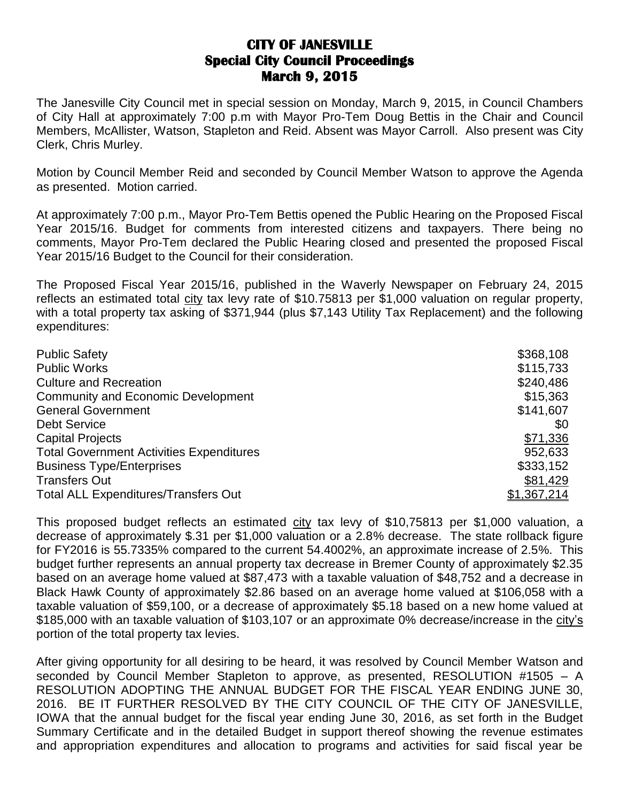## **CITY OF JANESVILLE Special City Council Proceedings March 9, 2015**

The Janesville City Council met in special session on Monday, March 9, 2015, in Council Chambers of City Hall at approximately 7:00 p.m with Mayor Pro-Tem Doug Bettis in the Chair and Council Members, McAllister, Watson, Stapleton and Reid. Absent was Mayor Carroll. Also present was City Clerk, Chris Murley.

Motion by Council Member Reid and seconded by Council Member Watson to approve the Agenda as presented. Motion carried.

At approximately 7:00 p.m., Mayor Pro-Tem Bettis opened the Public Hearing on the Proposed Fiscal Year 2015/16. Budget for comments from interested citizens and taxpayers. There being no comments, Mayor Pro-Tem declared the Public Hearing closed and presented the proposed Fiscal Year 2015/16 Budget to the Council for their consideration.

The Proposed Fiscal Year 2015/16, published in the Waverly Newspaper on February 24, 2015 reflects an estimated total city tax levy rate of \$10.75813 per \$1,000 valuation on regular property, with a total property tax asking of \$371,944 (plus \$7,143 Utility Tax Replacement) and the following expenditures:

| <b>Public Safety</b>                            | \$368,108          |
|-------------------------------------------------|--------------------|
| <b>Public Works</b>                             | \$115,733          |
| <b>Culture and Recreation</b>                   | \$240,486          |
| <b>Community and Economic Development</b>       | \$15,363           |
| <b>General Government</b>                       | \$141,607          |
| <b>Debt Service</b>                             | \$0                |
| <b>Capital Projects</b>                         | \$71,336           |
| <b>Total Government Activities Expenditures</b> | 952,633            |
| <b>Business Type/Enterprises</b>                | \$333,152          |
| <b>Transfers Out</b>                            | \$81,429           |
| <b>Total ALL Expenditures/Transfers Out</b>     | <u>\$1,367,214</u> |

This proposed budget reflects an estimated city tax levy of \$10,75813 per \$1,000 valuation, a decrease of approximately \$.31 per \$1,000 valuation or a 2.8% decrease. The state rollback figure for FY2016 is 55.7335% compared to the current 54.4002%, an approximate increase of 2.5%. This budget further represents an annual property tax decrease in Bremer County of approximately \$2.35 based on an average home valued at \$87,473 with a taxable valuation of \$48,752 and a decrease in Black Hawk County of approximately \$2.86 based on an average home valued at \$106,058 with a taxable valuation of \$59,100, or a decrease of approximately \$5.18 based on a new home valued at \$185,000 with an taxable valuation of \$103,107 or an approximate 0% decrease/increase in the city's portion of the total property tax levies.

After giving opportunity for all desiring to be heard, it was resolved by Council Member Watson and seconded by Council Member Stapleton to approve, as presented, RESOLUTION #1505 – A RESOLUTION ADOPTING THE ANNUAL BUDGET FOR THE FISCAL YEAR ENDING JUNE 30, 2016. BE IT FURTHER RESOLVED BY THE CITY COUNCIL OF THE CITY OF JANESVILLE, IOWA that the annual budget for the fiscal year ending June 30, 2016, as set forth in the Budget Summary Certificate and in the detailed Budget in support thereof showing the revenue estimates and appropriation expenditures and allocation to programs and activities for said fiscal year be